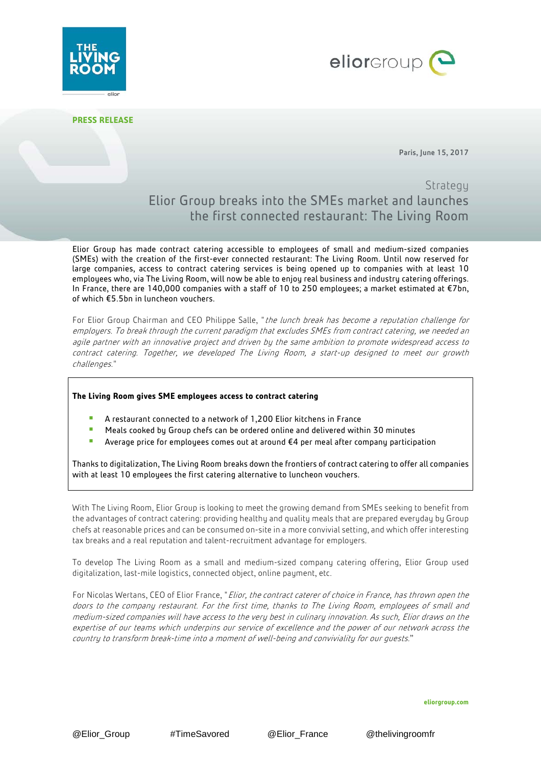



**PRESS RELEASE**

Paris, June 15, 2017

## **Strategy** Elior Group breaks into the SMEs market and launches the first connected restaurant: The Living Room

Elior Group has made contract catering accessible to employees of small and medium-sized companies (SMEs) with the creation of the first-ever connected restaurant: The Living Room. Until now reserved for large companies, access to contract catering services is being opened up to companies with at least 10 employees who, via The Living Room, will now be able to enjoy real business and industry catering offerings. In France, there are 140,000 companies with a staff of 10 to 250 employees; a market estimated at €7bn, of which €5.5bn in luncheon vouchers.

For Elior Group Chairman and CEO Philippe Salle, "the lunch break has become a reputation challenge for employers. To break through the current paradigm that excludes SMEs from contract catering, we needed an agile partner with an innovative project and driven by the same ambition to promote widespread access to contract catering. Together, we developed The Living Room, <sup>a</sup> start-up designed to meet our growth challenges."

## **The Living Room gives SME employees access to contract catering**

- A restaurant connected to a network of 1,200 Elior kitchens in France
- **Meals cooked by Group chefs can be ordered online and delivered within 30 minutes**
- Average price for employees comes out at around €4 per meal after company participation

Thanks to digitalization, The Living Room breaks down the frontiers of contract catering to offer all companies with at least 10 employees the first catering alternative to luncheon vouchers.

With The Living Room, Elior Group is looking to meet the growing demand from SMEs seeking to benefit from the advantages of contract catering: providing healthy and quality meals that are prepared everyday by Group chefs at reasonable prices and can be consumed on-site in a more convivial setting, and which offer interesting tax breaks and a real reputation and talent-recruitment advantage for employers.

To develop The Living Room as a small and medium-sized company catering offering, Elior Group used digitalization, last-mile logistics, connected object, online payment, etc.

For Nicolas Wertans, CEO of Elior France, "Elior, the contract caterer of choice in France, has thrown open the doors to the company restaurant. For the first time, thanks to The Living Room, employees of small and medium-sized companies will have access to the very best in culinary innovation. As such, Elior draws on the expertise of our teams which underpins our service of excellence and the power of our network across the country to transform break-time into <sup>a</sup> moment of well-being and conviviality for our guests."

**eliorgroup.com**

@Elior Group #TimeSavored @Elior France @thelivingroomfr